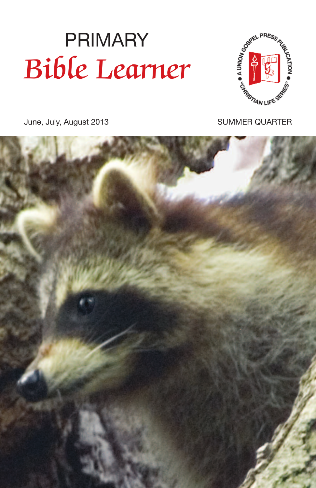# June, July, August 2013 PRIMARY Bible Learner



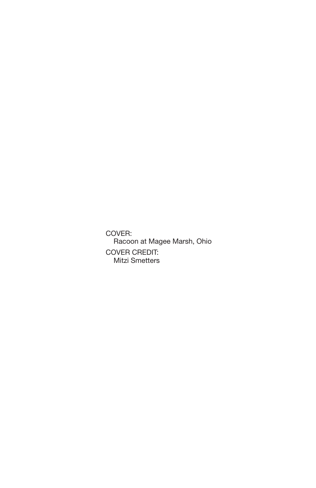COVER: Racoon at Magee Marsh, Ohio COVER CREDIT: Mitzi Smetters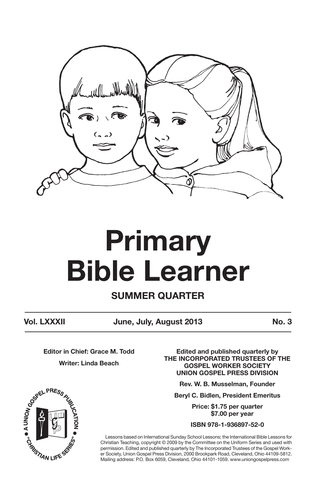

# **Primary Bible Learner**

**SUMMER QUARTER**

**Vol. LXXXII June, July, August 2013 No. 3**

**Editor in Chief: Grace M. Todd Writer: Linda Beach**

**Edited and published quarterly by THE INCORPORATED TRUSTEES OF THE GOSPEL WORKER SOCIETY UNION GOSPEL PRESS DIVISION**

**Rev. W. B. Musselman, Founder**

**Beryl C. Bidlen, President Emeritus**

**Price: \$1.75 per quarter \$7.00 per year**

**ISBN 978-1-936897-52-0**

Lessons based on International Sunday School Lessons; the International Bible Lessons for Christian Teaching, copyright © 2009 by the Committee on the Uniform Series and used with permission. Edited and published quarterly by The Incorporated Trustees of the Gospel Worker Society, Union Gospel Press Division, 2000 Brookpark Road, Cleveland, Ohio 44109-5812. Mailing address: P.O. Box 6059, Cleveland, Ohio 44101-1059. www.uniongospelpress.com

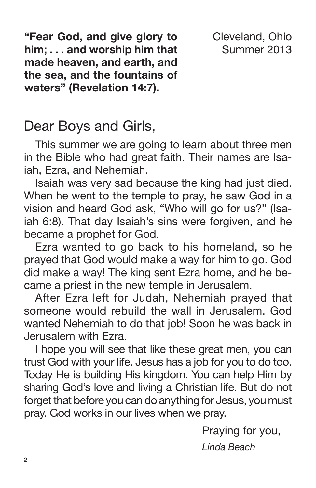**"Fear God, and give glory to him; . . . and worship him that made heaven, and earth, and the sea, and the fountains of waters" (Revelation 14:7).**

Cleveland, Ohio Summer 2013

### Dear Boys and Girls,

This summer we are going to learn about three men in the Bible who had great faith. Their names are Isaiah, Ezra, and Nehemiah.

Isaiah was very sad because the king had just died. When he went to the temple to pray, he saw God in a vision and heard God ask, "Who will go for us?" (Isaiah 6:8). That day Isaiah's sins were forgiven, and he became a prophet for God.

Ezra wanted to go back to his homeland, so he prayed that God would make a way for him to go. God did make a way! The king sent Ezra home, and he became a priest in the new temple in Jerusalem.

After Ezra left for Judah, Nehemiah prayed that someone would rebuild the wall in Jerusalem. God wanted Nehemiah to do that job! Soon he was back in Jerusalem with Ezra.

I hope you will see that like these great men, you can trust God with your life. Jesus has a job for you to do too. Today He is building His kingdom. You can help Him by sharing God's love and living a Christian life. But do not forget that before you can do anything for Jesus, you must pray. God works in our lives when we pray.

Praying for you,

*Linda Beach*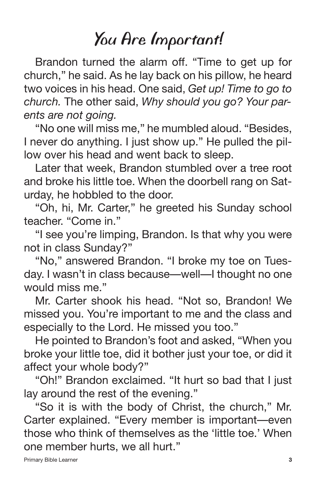### *You Are Important!*

Brandon turned the alarm off. "Time to get up for church," he said. As he lay back on his pillow, he heard two voices in his head. One said, *Get up! Time to go to church.* The other said, *Why should you go? Your parents are not going.*

"No one will miss me," he mumbled aloud. "Besides, I never do anything. I just show up." He pulled the pillow over his head and went back to sleep.

Later that week, Brandon stumbled over a tree root and broke his little toe. When the doorbell rang on Saturday, he hobbled to the door.

"Oh, hi, Mr. Carter," he greeted his Sunday school teacher. "Come in."

"I see you're limping, Brandon. Is that why you were not in class Sunday?"

"No," answered Brandon. "I broke my toe on Tuesday. I wasn't in class because—well—I thought no one would miss me."

Mr. Carter shook his head. "Not so, Brandon! We missed you. You're important to me and the class and especially to the Lord. He missed you too."

He pointed to Brandon's foot and asked, "When you broke your little toe, did it bother just your toe, or did it affect your whole body?"

"Oh!" Brandon exclaimed. "It hurt so bad that I just lay around the rest of the evening."

"So it is with the body of Christ, the church," Mr. Carter explained. "Every member is important—even those who think of themselves as the 'little toe.' When one member hurts, we all hurt."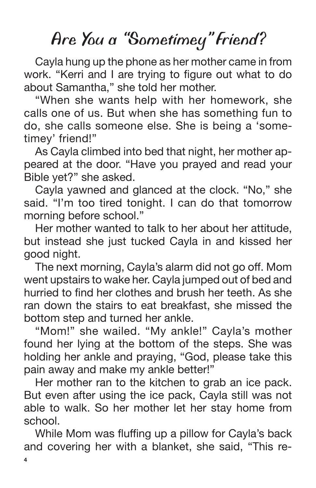### *Are You a "Sometimey " Friend?*

Cayla hung up the phone as her mother came in from work. "Kerri and I are trying to figure out what to do about Samantha," she told her mother.

"When she wants help with her homework, she calls one of us. But when she has something fun to do, she calls someone else. She is being a 'sometimey' friend!"

As Cayla climbed into bed that night, her mother appeared at the door. "Have you prayed and read your Bible yet?" she asked.

Cayla yawned and glanced at the clock. "No," she said. "I'm too tired tonight. I can do that tomorrow morning before school."

Her mother wanted to talk to her about her attitude, but instead she just tucked Cayla in and kissed her good night.

The next morning, Cayla's alarm did not go off. Mom went upstairs to wake her. Cayla jumped out of bed and hurried to find her clothes and brush her teeth. As she ran down the stairs to eat breakfast, she missed the bottom step and turned her ankle.

"Mom!" she wailed. "My ankle!" Cayla's mother found her lying at the bottom of the steps. She was holding her ankle and praying, "God, please take this pain away and make my ankle better!"

Her mother ran to the kitchen to grab an ice pack. But even after using the ice pack, Cayla still was not able to walk. So her mother let her stay home from school.

While Mom was fluffing up a pillow for Cayla's back and covering her with a blanket, she said, "This re-

**4**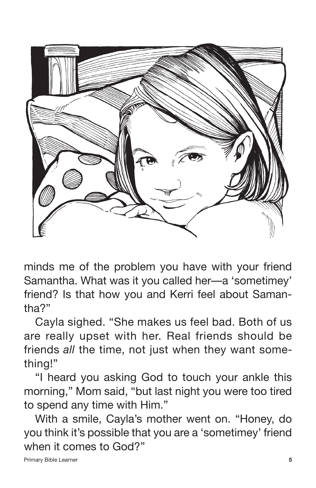

minds me of the problem you have with your friend Samantha. What was it you called her—a 'sometimey' friend? Is that how you and Kerri feel about Samantha?"

Cayla sighed. "She makes us feel bad. Both of us are really upset with her. Real friends should be friends *all* the time, not just when they want something!"

"I heard you asking God to touch your ankle this morning," Mom said, "but last night you were too tired to spend any time with Him."

With a smile, Cayla's mother went on. "Honey, do you think it's possible that you are a 'sometimey' friend when it comes to God?"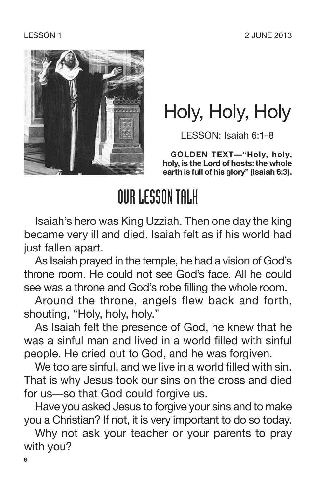

### Holy, Holy, Holy

LESSON: Isaiah 6:1-8

**GOLDEN TEXT—"Holy, holy, holy, is the Lord of hosts: the whole earth is full of his glory" (Isaiah 6:3).**

### OURLESSONTALK

Isaiah's hero was King Uzziah. Then one day the king became very ill and died. Isaiah felt as if his world had just fallen apart.

As Isaiah prayed in the temple, he had a vision of God's throne room. He could not see God's face. All he could see was a throne and God's robe filling the whole room.

Around the throne, angels flew back and forth, shouting, "Holy, holy, holy."

As Isaiah felt the presence of God, he knew that he was a sinful man and lived in a world filled with sinful people. He cried out to God, and he was forgiven.

We too are sinful, and we live in a world filled with sin. That is why Jesus took our sins on the cross and died for us—so that God could forgive us.

Have you asked Jesus to forgive your sins and to make you a Christian? If not, it is very important to do so today.

Why not ask your teacher or your parents to pray with you?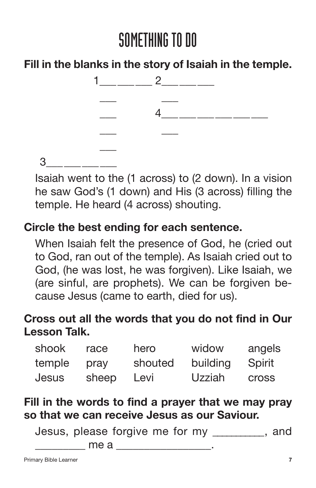**Fill in the blanks in the story of Isaiah in the temple.**



3\_\_\_\_\_\_\_\_\_\_\_\_

Isaiah went to the (1 across) to (2 down). In a vision he saw God's (1 down) and His (3 across) filling the temple. He heard (4 across) shouting.

#### **Circle the best ending for each sentence.**

When Isaiah felt the presence of God, he (cried out to God, ran out of the temple). As Isaiah cried out to God, (he was lost, he was forgiven). Like Isaiah, we (are sinful, are prophets). We can be forgiven because Jesus (came to earth, died for us).

### **Cross out all the words that you do not find in Our Lesson Talk.**

| shook        | race  | hero    | widow    | angels       |
|--------------|-------|---------|----------|--------------|
| temple       | pray  | shouted | building | Spirit       |
| <b>Jesus</b> | sheep | Levi    | Uzziah   | <b>Cross</b> |

#### **Fill in the words to find a prayer that we may pray so that we can receive Jesus as our Saviour.**

Jesus, please forgive me for my \_\_\_\_\_\_\_\_\_\_\_, and \_\_\_\_\_\_\_\_\_ me a \_\_\_\_\_\_\_\_\_\_\_\_\_\_\_\_\_.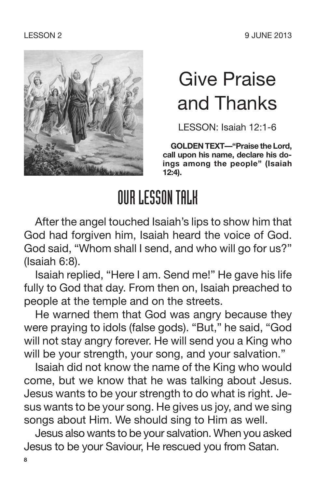LESSON 2 9 JUNE 2013



### Give Praise and Thanks

LESSON: Isaiah 12:1-6

**GOLDEN TEXT—"Praise the Lord, call upon his name, declare his doings among the people" (Isaiah 12:4).**

### OURLESSONTALK

After the angel touched Isaiah's lips to show him that God had forgiven him, Isaiah heard the voice of God. God said, "Whom shall I send, and who will go for us?" (Isaiah 6:8).

Isaiah replied, "Here I am. Send me!" He gave his life fully to God that day. From then on, Isaiah preached to people at the temple and on the streets.

He warned them that God was angry because they were praying to idols (false gods). "But," he said, "God will not stay angry forever. He will send you a King who will be your strength, your song, and your salvation."

Isaiah did not know the name of the King who would come, but we know that he was talking about Jesus. Jesus wants to be your strength to do what is right. Jesus wants to be your song. He gives us joy, and we sing songs about Him. We should sing to Him as well.

Jesus also wants to be your salvation. When you asked Jesus to be your Saviour, He rescued you from Satan.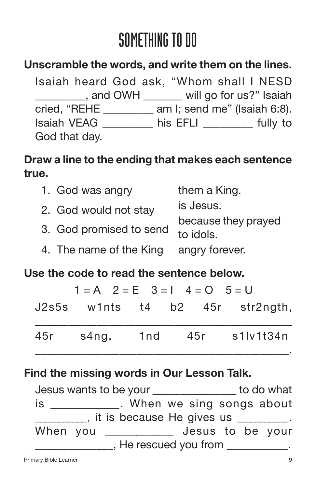### **Unscramble the words, and write them on the lines.**

Isaiah heard God ask, "Whom shall I NESD \_\_\_\_\_\_\_\_\_, and OWH \_\_\_\_\_\_\_ will go for us?" Isaiah cried, "REHE \_\_\_\_\_\_\_\_\_ am I; send me" (Isaiah 6:8). Isaiah VEAG \_\_\_\_\_\_\_\_\_ his EFLI \_\_\_\_\_\_\_\_\_ fully to God that day.

### **Draw a line to the ending that makes each sentence true.**

| 1. God was angry        | them a King.                     |
|-------------------------|----------------------------------|
| 2. God would not stay   | is Jesus.                        |
| 3. God promised to send | because they prayed<br>to idols. |
| 4. The name of the King | angry forever.                   |

#### **Use the code to read the sentence below.**

|     | $1 = A$ $2 = E$ $3 = 1$ $4 = 0$ $5 = U$ |  |                                 |
|-----|-----------------------------------------|--|---------------------------------|
|     |                                         |  | J2s5s w1nts t4 b2 45r str2ngth, |
| 45r | s4ng, 1nd                               |  | 45r s1lv1t34n                   |

#### **Find the missing words in Our Lesson Talk.**

Jesus wants to be your \_\_\_\_\_\_\_\_\_\_\_\_\_\_\_ to do what is \_\_\_\_\_\_\_\_\_\_\_\_. When we sing songs about  $\blacksquare$ , it is because He gives us  $\blacksquare$ . When you \_\_\_\_\_\_\_\_\_\_\_\_\_ Jesus to be your \_\_\_\_\_\_\_\_\_\_\_\_\_\_, He rescued you from \_\_\_\_\_\_\_\_\_\_\_.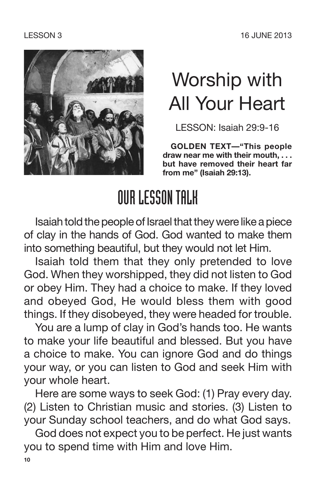

### Worship with All Your Heart

LESSON: Isaiah 29:9-16

**GOLDEN TEXT—"This people draw near me with their mouth, . . . but have removed their heart far from me" (Isaiah 29:13).**

### OURLESSONTALK

Isaiah told the people of Israel that they were like a piece of clay in the hands of God. God wanted to make them into something beautiful, but they would not let Him.

Isaiah told them that they only pretended to love God. When they worshipped, they did not listen to God or obey Him. They had a choice to make. If they loved and obeyed God, He would bless them with good things. If they disobeyed, they were headed for trouble.

You are a lump of clay in God's hands too. He wants to make your life beautiful and blessed. But you have a choice to make. You can ignore God and do things your way, or you can listen to God and seek Him with your whole heart.

Here are some ways to seek God: (1) Pray every day. (2) Listen to Christian music and stories. (3) Listen to your Sunday school teachers, and do what God says.

God does not expect you to be perfect. He just wants you to spend time with Him and love Him.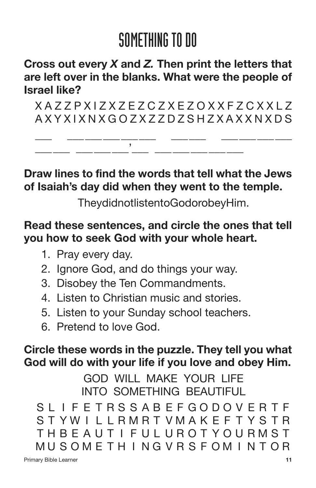#### **Cross out every** *X* **and** *Z.* **Then print the letters that are left over in the blanks. What were the people of Israel like?**

X A Z Z P X I Z X Z E Z C Z X E Z O X X F Z C X X L Z A X Y X I X N X G O Z X Z Z D Z S H Z X A X X N X D S

\_\_\_ \_\_\_\_\_\_\_\_\_\_\_\_\_\_\_ \_\_\_\_\_\_ \_\_\_\_\_\_\_\_\_\_\_\_

**Draw lines to find the words that tell what the Jews of Isaiah's day did when they went to the temple.**

TheydidnotlistentoGodorobeyHim.

#### **Read these sentences, and circle the ones that tell you how to seek God with your whole heart.**

- 1. Pray every day.
- 2. Ignore God, and do things your way.

\_\_\_\_\_\_ \_\_\_\_\_\_\_\_\_'\_\_\_ \_\_\_\_\_\_\_\_\_\_\_\_\_\_\_

- 3. Disobey the Ten Commandments.
- 4. Listen to Christian music and stories.
- 5. Listen to your Sunday school teachers.
- 6. Pretend to love God.

#### **Circle these words in the puzzle. They tell you what God will do with your life if you love and obey Him.**

GOD WILL MAKE YOUR LIFE INTO SOMETHING BEAUTIFUL

SL I F E TRS S AB EFGODOV ER T F S T YW I L LRMRT VMAK E F T Y S TR THBE AUT I F UL UROT YOURMST MU SOME T H I NG V R S F OM I N T OR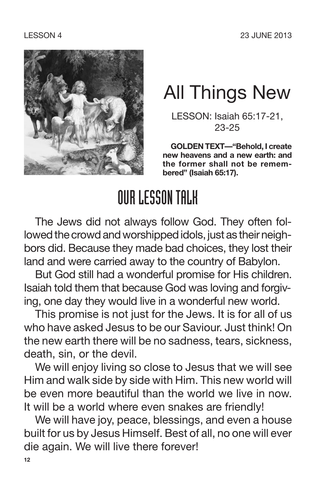

### All Things New

LESSON: Isaiah 65:17-21, 23-25

**GOLDEN TEXT—"Behold, I create new heavens and a new earth: and the former shall not be remembered" (Isaiah 65:17).**

### OURLESSONTALK

The Jews did not always follow God. They often followed the crowd and worshipped idols, just as their neighbors did. Because they made bad choices, they lost their land and were carried away to the country of Babylon.

But God still had a wonderful promise for His children. Isaiah told them that because God was loving and forgiving, one day they would live in a wonderful new world.

This promise is not just for the Jews. It is for all of us who have asked Jesus to be our Saviour. Just think! On the new earth there will be no sadness, tears, sickness, death, sin, or the devil.

We will enjoy living so close to Jesus that we will see Him and walk side by side with Him. This new world will be even more beautiful than the world we live in now. It will be a world where even snakes are friendly!

We will have joy, peace, blessings, and even a house built for us by Jesus Himself. Best of all, no one will ever die again. We will live there forever!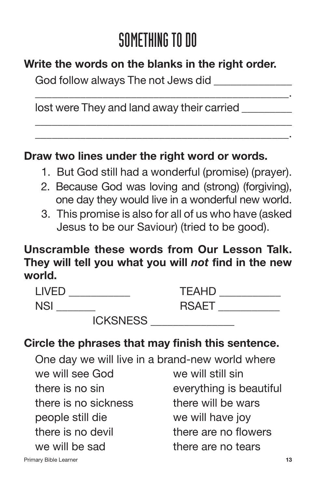\_\_\_\_\_\_\_\_\_\_\_\_\_\_\_\_\_\_\_\_\_\_\_\_\_\_\_\_\_\_\_\_\_\_\_\_\_\_\_\_\_\_\_\_\_.

\_\_\_\_\_\_\_\_\_\_\_\_\_\_\_\_\_\_\_\_\_\_\_\_\_\_\_\_\_\_\_\_\_\_\_\_\_\_\_\_\_\_\_\_\_\_ \_\_\_\_\_\_\_\_\_\_\_\_\_\_\_\_\_\_\_\_\_\_\_\_\_\_\_\_\_\_\_\_\_\_\_\_\_\_\_\_\_\_\_\_\_.

### **Write the words on the blanks in the right order.**

God follow always The not Jews did

lost were They and land away their carried

#### **Draw two lines under the right word or words.**

- 1. But God still had a wonderful (promise) (prayer).
- 2. Because God was loving and (strong) (forgiving), one day they would live in a wonderful new world.
- 3. This promise is also for all of us who have (asked Jesus to be our Saviour) (tried to be good).

#### **Unscramble these words from Our Lesson Talk. They will tell you what you will** *not* **find in the new world.**

| I IVED          | <b>TEAHD</b> |  |
|-----------------|--------------|--|
| <b>NSI</b>      | <b>RSAET</b> |  |
| <b>ICKSNESS</b> |              |  |

#### **Circle the phrases that may finish this sentence.**

One day we will live in a brand-new world where we will see God we will still sin there is no sin everything is beautiful there is no sickness there will be wars people still die we will have joy there is no devil there are no flowers we will be sad there are no tears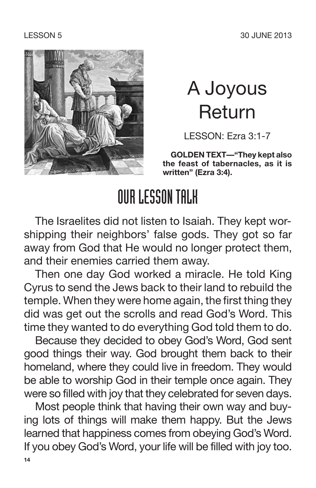

### A Joyous Return

LESSON: Ezra 3:1-7

**GOLDEN TEXT—"They kept also the feast of tabernacles, as it is written" (Ezra 3:4).**

### OURLESSONTALK

The Israelites did not listen to Isaiah. They kept worshipping their neighbors' false gods. They got so far away from God that He would no longer protect them, and their enemies carried them away.

Then one day God worked a miracle. He told King Cyrus to send the Jews back to their land to rebuild the temple. When they were home again, the first thing they did was get out the scrolls and read God's Word. This time they wanted to do everything God told them to do.

Because they decided to obey God's Word, God sent good things their way. God brought them back to their homeland, where they could live in freedom. They would be able to worship God in their temple once again. They were so filled with joy that they celebrated for seven days.

Most people think that having their own way and buying lots of things will make them happy. But the Jews learned that happiness comes from obeying God's Word. If you obey God's Word, your life will be filled with joy too. **14**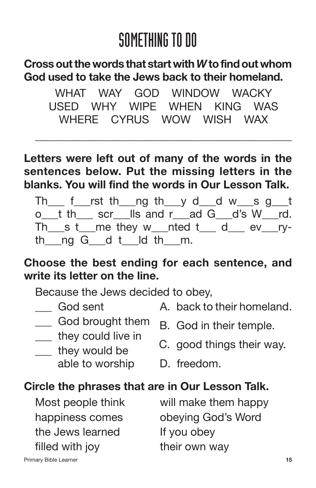#### **Crossoutthe words that start with***W***tofindout whom God used to take the Jews back to their homeland.**

WHAT WAY GOD WINDOW WACKY USED WHY WIPE WHEN KING WAS WHERE CYRUS WOW WISH WAX

\_\_\_\_\_\_\_\_\_\_\_\_\_\_\_\_\_\_\_\_\_\_\_\_\_\_\_\_\_\_\_\_\_\_\_\_\_\_\_\_\_\_\_\_\_\_

**Letters were left out of many of the words in the sentences below. Put the missing letters in the blanks. You will find the words in Our Lesson Talk.**

Th  $f$  rst th ng th y d d w s g t o t the scruils and rad G d's W rd.  $Th$  s t me they w nted t d ev ryth  $\log G$  d t  $\log$  the m.

#### **Choose the best ending for each sentence, and write its letter on the line.**

Because the Jews decided to obey,

- 
- God sent A. back to their homeland.
- 
- 
- - able to worship D. freedom.
- 
- $\frac{1}{\sqrt{1-\frac{1}{n}}}$  God brought them  $\frac{1}{\sqrt{1-\frac{1}{n}}}$  God in their temple.
- They would be contained by their way.
	-

#### **Circle the phrases that are in Our Lesson Talk.**

the Jews learned If you obey filled with joy their own way

Most people think will make them happy happiness comes obeying God's Word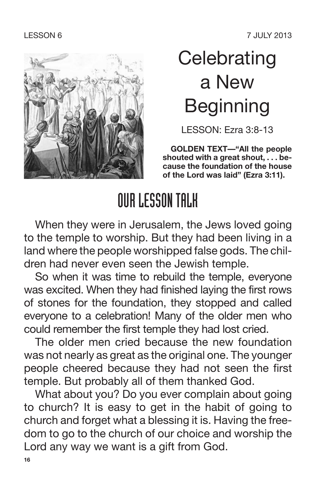

### **Celebrating** a New Beginning

LESSON: Ezra 3:8-13

**GOLDEN TEXT—"All the people shouted with a great shout, . . . because the foundation of the house of the Lord was laid" (Ezra 3:11).**

### OURLESSONTALK

When they were in Jerusalem, the Jews loved going to the temple to worship. But they had been living in a land where the people worshipped false gods. The children had never even seen the Jewish temple.

So when it was time to rebuild the temple, everyone was excited. When they had finished laying the first rows of stones for the foundation, they stopped and called everyone to a celebration! Many of the older men who could remember the first temple they had lost cried.

The older men cried because the new foundation was not nearly as great as the original one. The younger people cheered because they had not seen the first temple. But probably all of them thanked God.

What about you? Do you ever complain about going to church? It is easy to get in the habit of going to church and forget what a blessing it is. Having the freedom to go to the church of our choice and worship the Lord any way we want is a gift from God.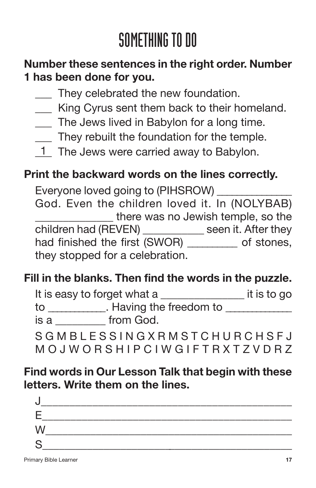### **Number these sentences in the right order. Number 1 has been done for you.**

- They celebrated the new foundation.
- \_\_\_ King Cyrus sent them back to their homeland.
- The Jews lived in Babylon for a long time.
- \_\_\_ They rebuilt the foundation for the temple.
- 1 The Jews were carried away to Babylon.

#### **Print the backward words on the lines correctly.**

Everyone loved going to (PIHSROW) \_\_\_\_\_\_\_\_\_\_\_\_\_\_\_ God. Even the children loved it. In (NOLYBAB) there was no Jewish temple, so the children had (REVEN) \_\_\_\_\_\_\_\_\_\_\_ seen it. After they had finished the first (SWOR) \_\_\_\_\_\_\_\_\_ of stones, they stopped for a celebration.

### **Fill in the blanks. Then find the words in the puzzle.**

|      | It is easy to forget what a | it is to go |
|------|-----------------------------|-------------|
| to   | . Having the freedom to     |             |
| is a | from God.                   |             |
|      |                             |             |

S G M B L E S S I N G X R M S T C H U R C H S F J M O J W O R S H I P C I W G I F T R X T Z V D R Z

#### **Find words in Our Lesson Talk that begin with these letters. Write them on the lines.**

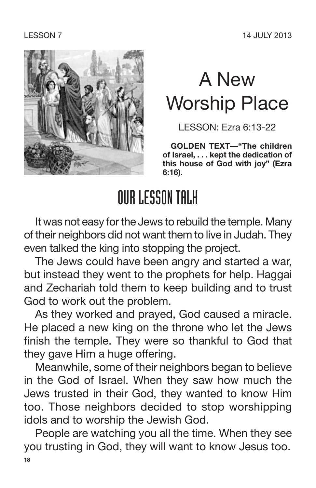

## A New Worship Place

LESSON: Ezra 6:13-22

**GOLDEN TEXT—"The children of Israel, . . . kept the dedication of this house of God with joy" (Ezra 6:16).**

### OURLESSONTALK

It was not easy for the Jews to rebuild the temple. Many of their neighbors did not want them to live in Judah. They even talked the king into stopping the project.

The Jews could have been angry and started a war, but instead they went to the prophets for help. Haggai and Zechariah told them to keep building and to trust God to work out the problem.

As they worked and prayed, God caused a miracle. He placed a new king on the throne who let the Jews finish the temple. They were so thankful to God that they gave Him a huge offering.

Meanwhile, some of their neighbors began to believe in the God of Israel. When they saw how much the Jews trusted in their God, they wanted to know Him too. Those neighbors decided to stop worshipping idols and to worship the Jewish God.

People are watching you all the time. When they see you trusting in God, they will want to know Jesus too. **18**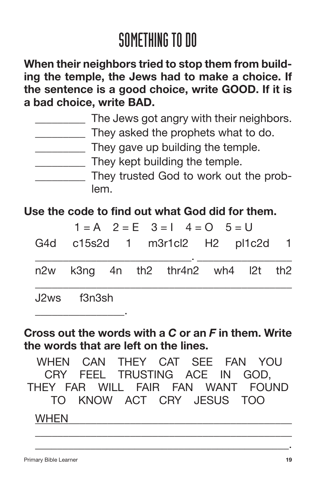**When their neighbors tried to stop them from building the temple, the Jews had to make a choice. If the sentence is a good choice, write GOOD. If it is a bad choice, write BAD.**

| The Jews got angry with their neighbors. |
|------------------------------------------|
| They asked the prophets what to do.      |
| They gave up building the temple.        |
| They kept building the temple.           |
| They trusted God to work out the prob-   |
| lem.                                     |

#### **Use the code to find out what God did for them.**

|                                      |  | $1 = A$ $2 = E$ $3 = 1$ $4 = 0$ $5 = U$ |  |  |
|--------------------------------------|--|-----------------------------------------|--|--|
|                                      |  | G4d c15s2d 1 m3r1cl2 H2 pl1c2d 1        |  |  |
|                                      |  | n2w k3ng 4n th2 thr4n2 wh4 l2t th2      |  |  |
| J <sub>2</sub> ws f <sub>3n3sh</sub> |  |                                         |  |  |

#### **Cross out the words with a** *C* **or an** *F* **in them. Write the words that are left on the lines.**

WHEN CAN THEY CAT SEE FAN YOU CRY FEEL TRUSTING ACE IN GOD, THEY FAR WILL FAIR FAN WANT FOUND TO KNOW ACT CRY JESUS TOO

\_\_\_\_\_\_\_\_\_\_\_\_\_\_\_\_\_\_\_\_\_\_\_\_\_\_\_\_\_\_\_\_\_\_\_\_\_\_\_\_\_\_\_\_\_\_ \_\_\_\_\_\_\_\_\_\_\_\_\_\_\_\_\_\_\_\_\_\_\_\_\_\_\_\_\_\_\_\_\_\_\_\_\_\_\_\_\_\_\_\_\_\_.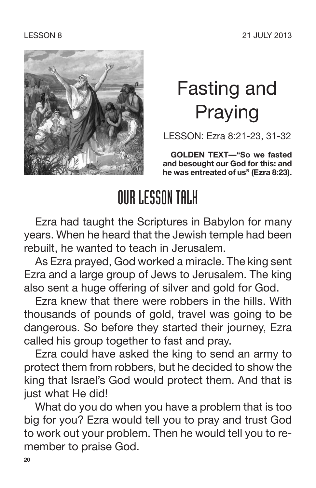

## Fasting and Praying

LESSON: Ezra 8:21-23, 31-32

**GOLDEN TEXT—"So we fasted and besought our God for this: and he was entreated of us" (Ezra 8:23).**

### OURLESSONTALK

Ezra had taught the Scriptures in Babylon for many years. When he heard that the Jewish temple had been rebuilt, he wanted to teach in Jerusalem.

As Ezra prayed, God worked a miracle. The king sent Ezra and a large group of Jews to Jerusalem. The king also sent a huge offering of silver and gold for God.

Ezra knew that there were robbers in the hills. With thousands of pounds of gold, travel was going to be dangerous. So before they started their journey, Ezra called his group together to fast and pray.

Ezra could have asked the king to send an army to protect them from robbers, but he decided to show the king that Israel's God would protect them. And that is just what He did!

What do you do when you have a problem that is too big for you? Ezra would tell you to pray and trust God to work out your problem. Then he would tell you to remember to praise God.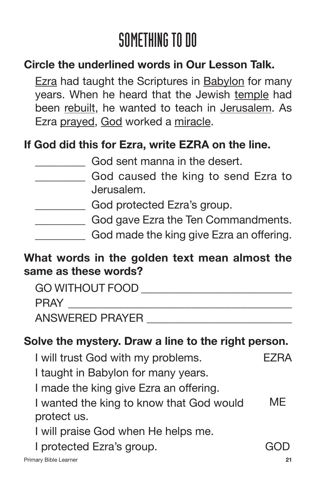### **Circle the underlined words in Our Lesson Talk.**

Ezra had taught the Scriptures in Babylon for many years. When he heard that the Jewish temple had been rebuilt, he wanted to teach in Jerusalem. As Ezra prayed, God worked a miracle.

#### **If God did this for Ezra, write EZRA on the line.**

- God caused the king to send Ezra to Jerusalem.
	- God protected Ezra's group.
- **EXECUTE:** God gave Ezra the Ten Commandments.
	- God made the king give Ezra an offering.

#### **What words in the golden text mean almost the same as these words?**

| <b>GO WITHOUT FOOD</b> |  |
|------------------------|--|
| <b>PRAY</b>            |  |
| <b>ANSWERED PRAYER</b> |  |

#### **Solve the mystery. Draw a line to the right person.**

- I will trust God with my problems. EZRA
- I taught in Babylon for many years.

I made the king give Ezra an offering.

I wanted the king to know that God would ME protect us.

I will praise God when He helps me.

I protected Ezra's group. The state of GOD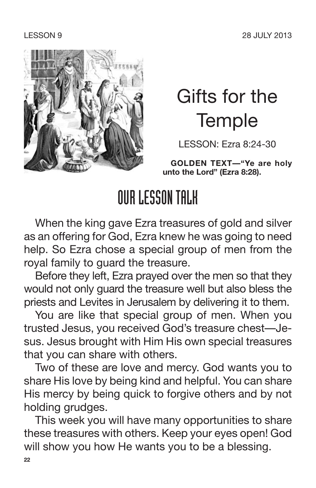

### Gifts for the **Temple**

LESSON: Ezra 8:24-30

**GOLDEN TEXT—"Ye are holy unto the Lord" (Ezra 8:28).**

### OURLESSONTALK

When the king gave Ezra treasures of gold and silver as an offering for God, Ezra knew he was going to need help. So Ezra chose a special group of men from the royal family to guard the treasure.

Before they left, Ezra prayed over the men so that they would not only guard the treasure well but also bless the priests and Levites in Jerusalem by delivering it to them.

You are like that special group of men. When you trusted Jesus, you received God's treasure chest—Jesus. Jesus brought with Him His own special treasures that you can share with others.

Two of these are love and mercy. God wants you to share His love by being kind and helpful. You can share His mercy by being quick to forgive others and by not holding grudges.

This week you will have many opportunities to share these treasures with others. Keep your eyes open! God will show you how He wants you to be a blessing.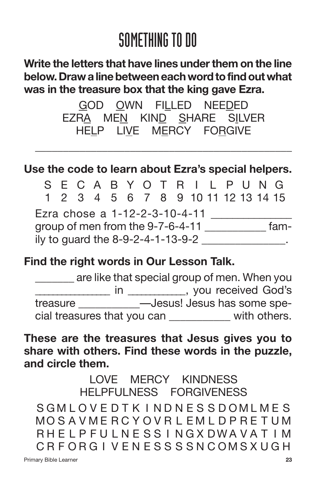#### **Write the letters that have lines underthem on the line below.Draw alinebetweeneach wordtofindout what was in the treasure box that the king gave Ezra.**

GOD OWN FILLED NEEDED EZRA MEN KIND SHARE SILVER HELP LIVE MERCY FORGIVE

\_\_\_\_\_\_\_\_\_\_\_\_\_\_\_\_\_\_\_\_\_\_\_\_\_\_\_\_\_\_\_\_\_\_\_\_\_\_\_\_\_\_\_\_\_\_

#### **Use the code to learn about Ezra's special helpers.**

SECABYOT R I L PUNG 123456789 10 11 12 13 14 15 Ezra chose a 1-12-2-3-10-4-11 group of men from the 9-7-6-4-11 \_\_\_\_\_\_\_\_\_\_\_ fam $i$ ly to guard the  $8-9-2-4-1-13-9-2$ 

#### **Find the right words in Our Lesson Talk.**

\_\_\_\_\_\_\_ are like that special group of men. When you \_\_\_\_\_\_\_\_\_\_\_\_\_\_\_\_\_ in \_\_\_\_\_\_\_\_\_\_\_\_\_, you received God's treasure \_\_\_\_\_\_\_\_\_\_\_—Jesus! Jesus has some special treasures that you can \_\_\_\_\_\_\_\_\_\_\_ with others.

#### **These are the treasures that Jesus gives you to share with others. Find these words in the puzzle, and circle them.**

LOVE MERCY KINDNESS HELPFULNESS FORGIVENESS SGMLOVE D T K I ND N E S S D O M L M E S MO S A VME RC Y OV R L EM L D P RE T UM RH F L P FU L N F S S L N G X D W A V A T L M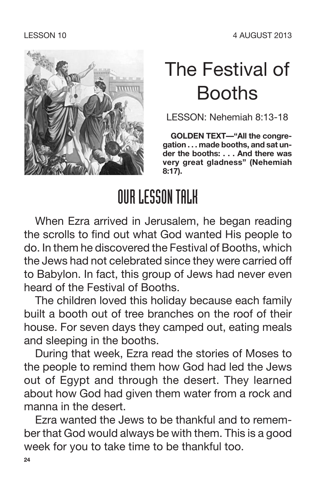

## The Festival of Booths

LESSON: Nehemiah 8:13-18

**GOLDEN TEXT—"All the congregation . . . made booths, and sat under the booths: . . . And there was very great gladness" (Nehemiah 8:17).**

### OURLESSONTALK

When Ezra arrived in Jerusalem, he began reading the scrolls to find out what God wanted His people to do. In them he discovered the Festival of Booths, which the Jews had not celebrated since they were carried off to Babylon. In fact, this group of Jews had never even heard of the Festival of Booths.

The children loved this holiday because each family built a booth out of tree branches on the roof of their house. For seven days they camped out, eating meals and sleeping in the booths.

During that week, Ezra read the stories of Moses to the people to remind them how God had led the Jews out of Egypt and through the desert. They learned about how God had given them water from a rock and manna in the desert.

Ezra wanted the Jews to be thankful and to remember that God would always be with them. This is a good week for you to take time to be thankful too.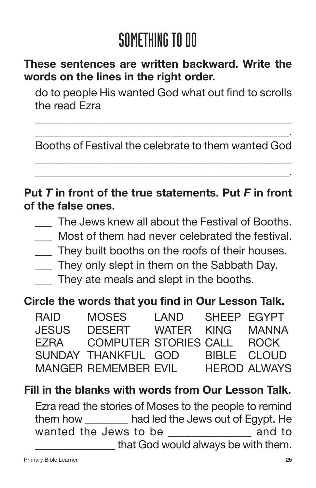### **These sentences are written backward. Write the words on the lines in the right order.**

do to people His wanted God what out find to scrolls the read Ezra

\_\_\_\_\_\_\_\_\_\_\_\_\_\_\_\_\_\_\_\_\_\_\_\_\_\_\_\_\_\_\_\_\_\_\_\_\_\_\_\_\_\_\_\_\_\_

\_\_\_\_\_\_\_\_\_\_\_\_\_\_\_\_\_\_\_\_\_\_\_\_\_\_\_\_\_\_\_\_\_\_\_\_\_\_\_\_\_\_\_\_\_. Booths of Festival the celebrate to them wanted God \_\_\_\_\_\_\_\_\_\_\_\_\_\_\_\_\_\_\_\_\_\_\_\_\_\_\_\_\_\_\_\_\_\_\_\_\_\_\_\_\_\_\_\_\_\_

\_\_\_\_\_\_\_\_\_\_\_\_\_\_\_\_\_\_\_\_\_\_\_\_\_\_\_\_\_\_\_\_\_\_\_\_\_\_\_\_\_\_\_\_\_.

#### **Put** *T* **in front of the true statements. Put** *F* **in front of the false ones.**

- The Jews knew all about the Festival of Booths.
- Most of them had never celebrated the festival.
- \_\_\_ They built booths on the roofs of their houses.
- \_\_\_ They only slept in them on the Sabbath Day.
- \_\_\_ They ate meals and slept in the booths.

#### **Circle the words that you find in Our Lesson Talk.**

| <b>RAID</b>  | <b>MOSES</b>                 | I AND | SHEEP EGYPT |                     |
|--------------|------------------------------|-------|-------------|---------------------|
| <b>JESUS</b> | <b>DESERT</b>                | WATER | <b>KING</b> | MANNA               |
| F7RA         | <b>COMPUTER STORIES CALL</b> |       |             | <b>ROCK</b>         |
|              | SUNDAY THANKFUL GOD          |       | BIBLE CLOUD |                     |
|              | <b>MANGER REMEMBER EVIL</b>  |       |             | <b>HEROD ALWAYS</b> |

#### **Fill in the blanks with words from Our Lesson Talk.**

Ezra read the stories of Moses to the people to remind them how \_\_\_\_\_\_\_\_ had led the Jews out of Egypt. He wanted the Jews to be **wanted** to that God would always be with them.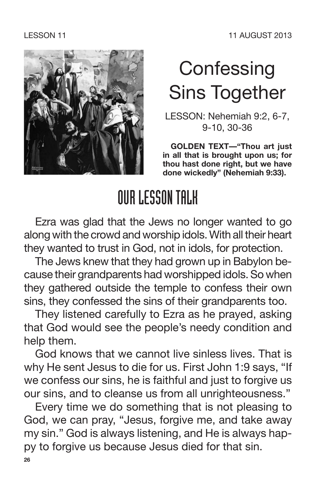

## **Confessing** Sins Together

LESSON: Nehemiah 9:2, 6-7, 9-10, 30-36

**GOLDEN TEXT—"Thou art just in all that is brought upon us; for thou hast done right, but we have done wickedly" (Nehemiah 9:33).**

### OURLESSONTALK

Ezra was glad that the Jews no longer wanted to go along with the crowd and worship idols. With all their heart they wanted to trust in God, not in idols, for protection.

The Jews knew that they had grown up in Babylon because their grandparents had worshipped idols.So when they gathered outside the temple to confess their own sins, they confessed the sins of their grandparents too.

They listened carefully to Ezra as he prayed, asking that God would see the people's needy condition and help them.

God knows that we cannot live sinless lives. That is why He sent Jesus to die for us. First John 1:9 says, "If we confess our sins, he is faithful and just to forgive us our sins, and to cleanse us from all unrighteousness."

Every time we do something that is not pleasing to God, we can pray, "Jesus, forgive me, and take away my sin." God is always listening, and He is always happy to forgive us because Jesus died for that sin. **26**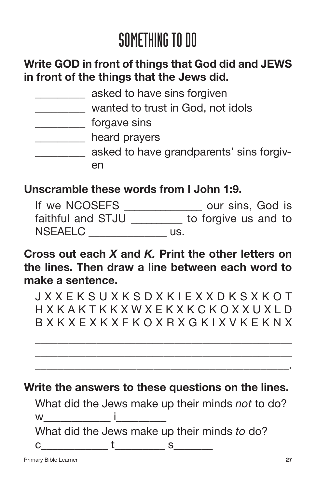#### **Write GOD in front of things that God did and JEWS in front of the things that the Jews did.**

| asked to have sins forgiven              |
|------------------------------------------|
| wanted to trust in God, not idols        |
| forgave sins                             |
| heard prayers                            |
| asked to have grandparents' sins forgiv- |
| en                                       |
|                                          |

#### **Unscramble these words from I John 1:9.**

| If we NCOSEFS     | our sins, God is     |
|-------------------|----------------------|
| faithful and STJU | to forgive us and to |
| <b>NSEAELC</b>    | US.                  |

**Cross out each** *X* **and** *K.* **Print the other letters on the lines. Then draw a line between each word to make a sentence.**

J X X E K S U X K S D X K I E X X D K S X K O T H X K A K T K K X W X E K X K C K O X X U X L D B X K X E X K X F K O X R X G K I X V K E K N X

\_\_\_\_\_\_\_\_\_\_\_\_\_\_\_\_\_\_\_\_\_\_\_\_\_\_\_\_\_\_\_\_\_\_\_\_\_\_\_\_\_\_\_\_\_\_ \_\_\_\_\_\_\_\_\_\_\_\_\_\_\_\_\_\_\_\_\_\_\_\_\_\_\_\_\_\_\_\_\_\_\_\_\_\_\_\_\_\_\_\_\_\_ \_\_\_\_\_\_\_\_\_\_\_\_\_\_\_\_\_\_\_\_\_\_\_\_\_\_\_\_\_\_\_\_\_\_\_\_\_\_\_\_\_\_\_\_\_.

**Write the answers to these questions on the lines.**

What did the Jews make up their minds *not* to do?  $w$  in the set of  $\mathbf i$ What did the Jews make up their minds *to* do?  $c \qquad \qquad t \qquad \qquad s \qquad$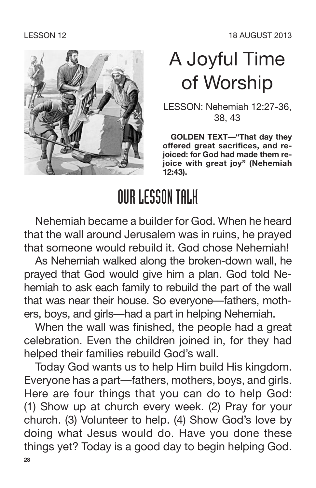

### A Joyful Time of Worship

LESSON: Nehemiah 12:27-36, 38, 43

**GOLDEN TEXT—"That day they offered great sacrifices, and rejoiced: for God had made them rejoice with great joy" (Nehemiah 12:43).**

### OURLESSONTALK

Nehemiah became a builder for God. When he heard that the wall around Jerusalem was in ruins, he prayed that someone would rebuild it. God chose Nehemiah!

As Nehemiah walked along the broken-down wall, he prayed that God would give him a plan. God told Nehemiah to ask each family to rebuild the part of the wall that was near their house. So everyone—fathers, mothers, boys, and girls—had a part in helping Nehemiah.

When the wall was finished, the people had a great celebration. Even the children joined in, for they had helped their families rebuild God's wall.

Today God wants us to help Him build His kingdom. Everyone has a part—fathers, mothers, boys, and girls. Here are four things that you can do to help God: (1) Show up at church every week. (2) Pray for your church. (3) Volunteer to help. (4) Show God's love by doing what Jesus would do. Have you done these things yet? Today is a good day to begin helping God. **28**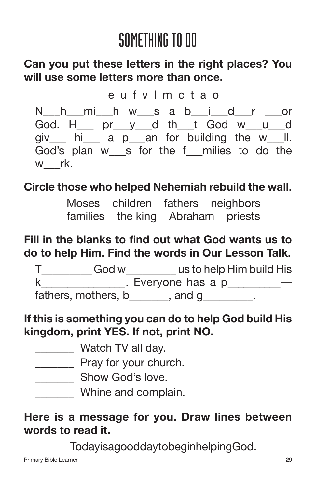#### **Can you put these letters in the right places? You will use some letters more than once.**

e u f v l m c t a o

N\_\_h\_\_mi\_\_h w\_\_s a b\_\_i\_\_d\_\_r \_\_\_or God. H\_\_\_ pr\_\_\_y\_\_\_d th\_\_\_t God w\_\_\_u\_\_\_d giv hi a p an for building the w ll. God's plan w s for the f milies to do the w rk.

### **Circle those who helped Nehemiah rebuild the wall.**

Moses children fathers neighbors families the king Abraham priests

### **Fill in the blanks to find out what God wants us to do to help Him. Find the words in Our Lesson Talk.**

T\_\_\_\_\_\_\_\_\_ God w\_\_\_\_\_\_\_\_\_ us to help Him build His  $k$  **Everyone has a p**  $$ fathers, mothers, b and g .

#### **If this is something you can do to help God build His kingdom, print YES. If not, print NO.**

- \_\_\_\_\_\_\_ Watch TV all day.
- \_\_\_\_\_\_\_ Pray for your church.
- \_\_\_\_\_\_\_\_\_ Show God's love.
- \_\_\_\_\_\_\_ Whine and complain.

#### **Here is a message for you. Draw lines between words to read it.**

TodayisagooddaytobeginhelpingGod.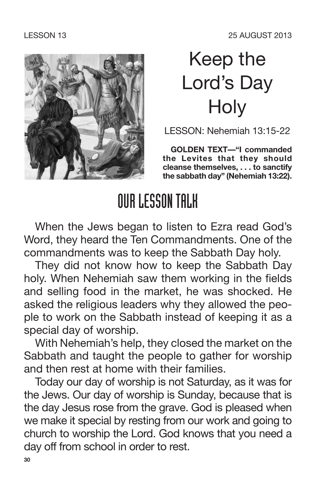

### Keep the Lord's Day **Holy**

LESSON: Nehemiah 13:15-22

**GOLDEN TEXT—"I commanded the Levites that they should cleanse themselves, . . . to sanctify the sabbath day" (Nehemiah 13:22).**

### OURLESSONTALK

When the Jews began to listen to Ezra read God's Word, they heard the Ten Commandments. One of the commandments was to keep the Sabbath Day holy.

They did not know how to keep the Sabbath Day holy. When Nehemiah saw them working in the fields and selling food in the market, he was shocked. He asked the religious leaders why they allowed the people to work on the Sabbath instead of keeping it as a special day of worship.

With Nehemiah's help, they closed the market on the Sabbath and taught the people to gather for worship and then rest at home with their families.

Today our day of worship is not Saturday, as it was for the Jews. Our day of worship is Sunday, because that is the day Jesus rose from the grave. God is pleased when we make it special by resting from our work and going to church to worship the Lord. God knows that you need a day off from school in order to rest.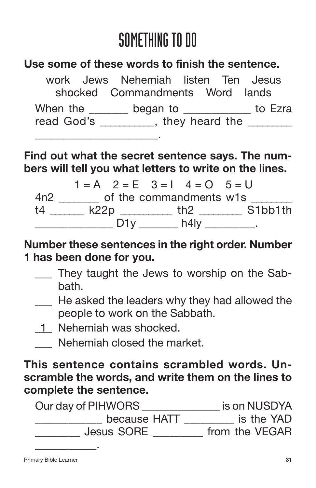#### **Use some of these words to finish the sentence.**

work Jews Nehemiah listen Ten Jesus shocked Commandments Word lands When the \_\_\_\_\_\_\_ began to \_\_\_\_\_\_\_\_\_\_\_\_ to Ezra read God's They heard the \_\_\_\_\_\_\_\_\_\_\_\_\_\_\_\_\_\_\_\_\_\_.

**Find out what the secret sentence says. The numbers will tell you what letters to write on the lines.**

 $1 = A$   $2 = E$   $3 = 1$   $4 = 0$   $5 = U$ 4n2 \_\_\_\_\_\_\_\_ of the commandments w1s t4 \_\_\_\_\_\_\_ k22p \_\_\_\_\_\_\_\_\_\_\_ th2 \_\_\_\_\_\_\_\_\_ S1bb1th  $\Box$  D1y  $\Box$  h4ly  $\Box$ 

**Number these sentences in the right order. Number 1 has been done for you.**

- They taught the Jews to worship on the Sabbath.
- He asked the leaders why they had allowed the people to work on the Sabbath.
- 1<sup>-</sup> Nehemiah was shocked.
- \_\_\_ Nehemiah closed the market.

**This sentence contains scrambled words. Unscramble the words, and write them on the lines to complete the sentence.**

| Our day of PIHWORS | is on NUSDYA   |
|--------------------|----------------|
| because HATT       | is the YAD     |
| <b>Jesus SORE</b>  | from the VEGAR |
|                    |                |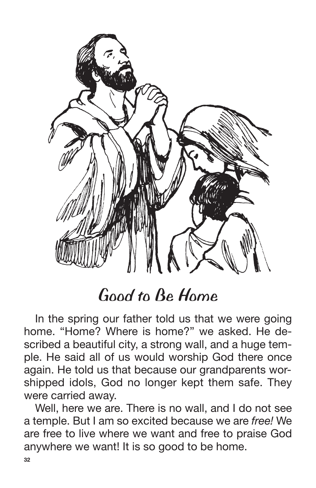

### *Good to Be Home*

In the spring our father told us that we were going home. "Home? Where is home?" we asked. He described a beautiful city, a strong wall, and a huge temple. He said all of us would worship God there once again. He told us that because our grandparents worshipped idols, God no longer kept them safe. They were carried away.

Well, here we are. There is no wall, and I do not see a temple. But I am so excited because we are *free!* We are free to live where we want and free to praise God anywhere we want! It is so good to be home.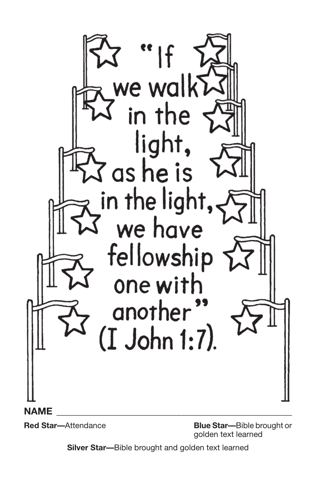

**Red Star—**Attendance **Blue Star—**Bible brought or golden text learned

**Silver Star—**Bible brought and golden text learned